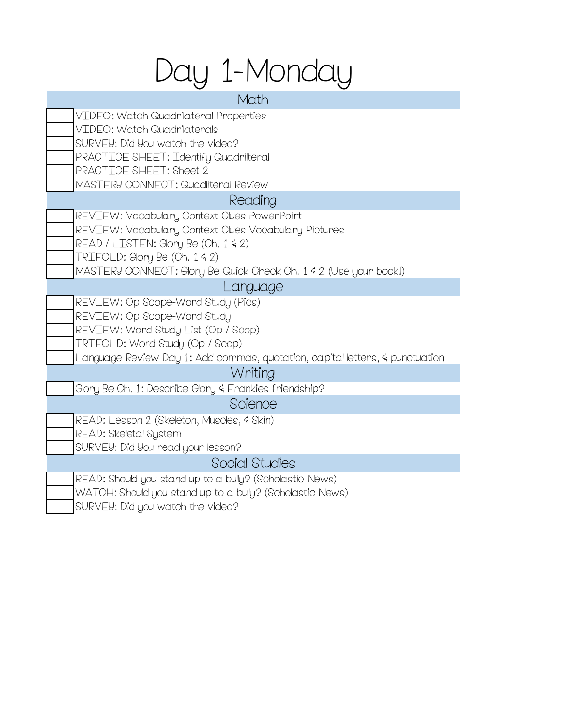# Day 1-Monday

| Math                                                                         |
|------------------------------------------------------------------------------|
| VIDEO: Watch Quadrilateral Properties                                        |
| VIDEO: Watch Quadrilaterals                                                  |
| SURVEY: Did You watch the video?                                             |
| PRACTICE SHEET: Identify Quadrilteral                                        |
| PRACTICE SHEET: Sheet 2                                                      |
| MASTERY CONNECT: Quadliteral Review                                          |
| Reading                                                                      |
| REVIEW: Vocabulary Context Clues PowerPoint                                  |
| REVIEW: Vocabulary Context Clues Vocabulary Pictures                         |
| READ / LISTEN: Glory Be (Ch. 1 4 2)                                          |
| TRIFOLD: Glory Be (Ch. 1 4 2)                                                |
| MASTERY CONNECT: Glory Be Quick Check Ch. 1 & 2 (Use your book!)             |
| Language                                                                     |
| REVIEW: Op Scope-Word Study (Pics)                                           |
| REVIEW: Op Scope-Word Study                                                  |
| REVIEW: Word Study List (Op / Scop)                                          |
| TRIFOLD: Word Study (Op / Scop)                                              |
| Language Review Day 1: Add commas, quotation, capital letters, 4 punctuation |
| Writing                                                                      |
| Glory Be Ch. 1: Describe Glory 4 Frankies friendship?                        |
| Science                                                                      |
| READ: Lesson 2 (Skeleton, Muscles, 4 Skin)                                   |
| READ: Skeletal System                                                        |
| SURVEY: Did You read your lesson?                                            |
| Social Studies                                                               |
| READ: Should you stand up to a bully? (Scholastic News)                      |
| WATCH: Should you stand up to a bully? (Scholastic News)                     |

SURVEY: Did you watch the video?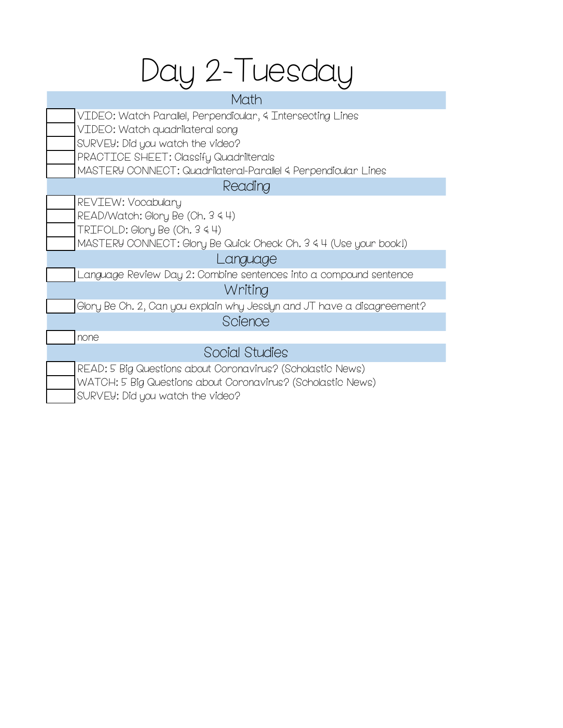# Day 2-Tuesday

VIDEO: Watch Parallel, Perpendicular, & Intersecting Lines VIDEO: Watch quadrilateral song SURVEY: Did you watch the video? PRACTICE SHEET: Classify Quadrilterals MASTERY CONNECT: Quadrilateral-Parallel & Perpendicular Lines Math

### Reading

| <b>REVIEW: Vocabulary</b>        |
|----------------------------------|
| READ/Watch: Glory Be (Ch. 3 4 4) |

TRIFOLD: Glory Be (Ch. 3 & 4)

MASTERY CONNECT: Glory Be Quick Check Ch. 3 & 4 (Use your book!)

## Language

Language Review Day 2: Combine sentences into a compound sentence

## Writing

Glory Be Ch. 2, Can you explain why Jesslyn and JT have a disagreement? Science

none

## Social Studies

| READ: 5 Big Questions about Coronavirus? (Scholastic News)  |
|-------------------------------------------------------------|
| WATCH: 5 Big Questions about Coronavirus? (Scholastic News) |
| SURVEY: Did you watch the video?                            |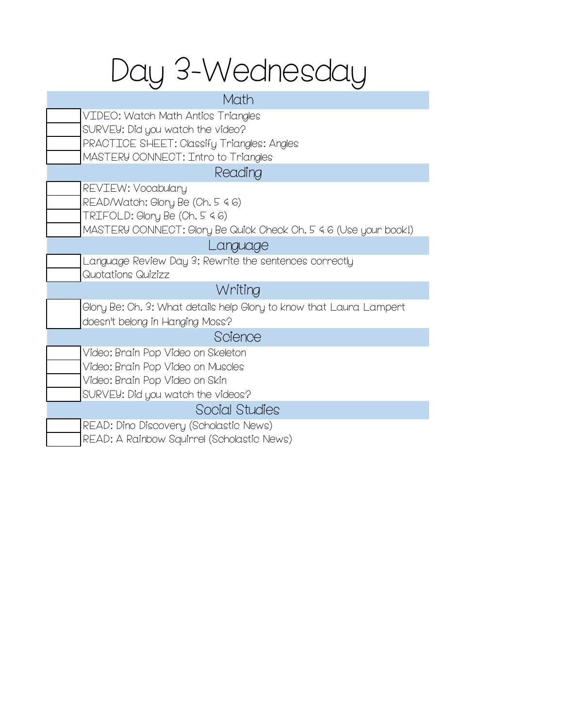## Day 3-Wednesday

### Math

| VIDEO: Watch Math Antics Triangles                |
|---------------------------------------------------|
| SURVEY: Did you watch the video?                  |
| <b>PRACTICE SHEET: Classify Triangles: Angles</b> |
| MASTERY CONNECT: Intro to Triangles               |

## Reading

| REVIEW: Vocabulary                                               |
|------------------------------------------------------------------|
| READ/Watch: Glory Be (Ch. 5 46)                                  |
| TRIFOLD: Glory Be (Ch. 5 46)                                     |
| MASTERY CONNECT: Glory Be Quick Check Ch. 5 4 6 (Use your book!) |

#### Language

| Language Review Day 3: Rewrite the sentences correctly |
|--------------------------------------------------------|
| Quotations Quizizz                                     |

## Writing

Glory Be: Ch. 3: What details help Glory to know that Laura Lampert doesn't belong in Hanging Moss?

## Science

| Video: Brain Pop Video on Skeleton |  |  |
|------------------------------------|--|--|
|                                    |  |  |

Video: Brain Pop Video on Muscles

Video: Brain Pop Video on Skin

SURVEY: Did you watch the videos?

#### Social Studies

READ: Dino Discovery (Scholastic News) READ: A Rainbow Squirrel (Scholastic News)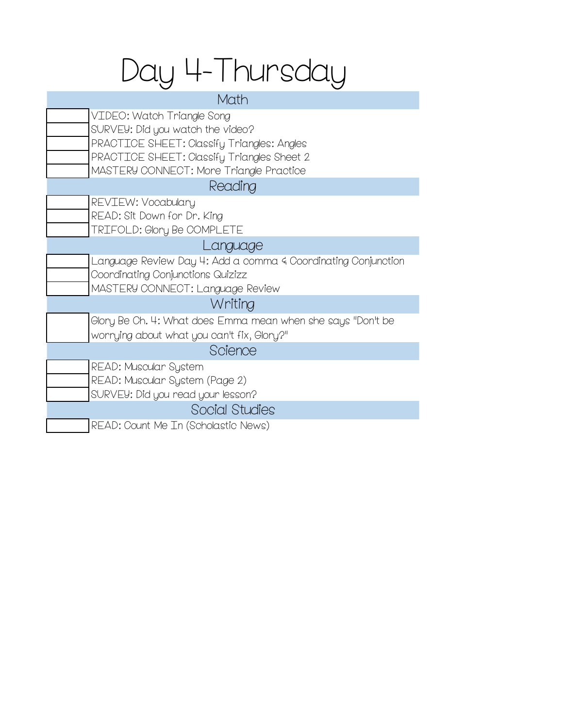## Day 4-Thursday

#### Math

| VIDEO: Watch Triangle Song                                    |
|---------------------------------------------------------------|
| SURVEY: Did you watch the video?                              |
| PRACTICE SHEET: Classify Triangles: Angles                    |
| PRACTICE SHEET: Classify Triangles Sheet 2                    |
| MASTERY CONNECT: More Triangle Practice                       |
| Reading                                                       |
| REVIEW: Vocabulary                                            |
| READ: Sit Down for Dr. King                                   |
| TRIFOLD: Glory Be COMPLETE                                    |
| Language                                                      |
| Language Review Day 4: Add a comma 4 Coordinating Conjunction |
| Coordinating Conjunctions Quizizz                             |
| MASTERY CONNECT: Language Review                              |
| Writing                                                       |
| Glory Be Ch. 4: What does Emma mean when she says "Don't be   |
| worrying about what you can't fix, Glory?"                    |
| Science                                                       |
| READ: Muscular System                                         |
| READ: Muscular System (Page 2)                                |
| SURVEY: Did you read your lesson?                             |
| Social Studies                                                |
| READ: Count Me In (Scholastic News)                           |